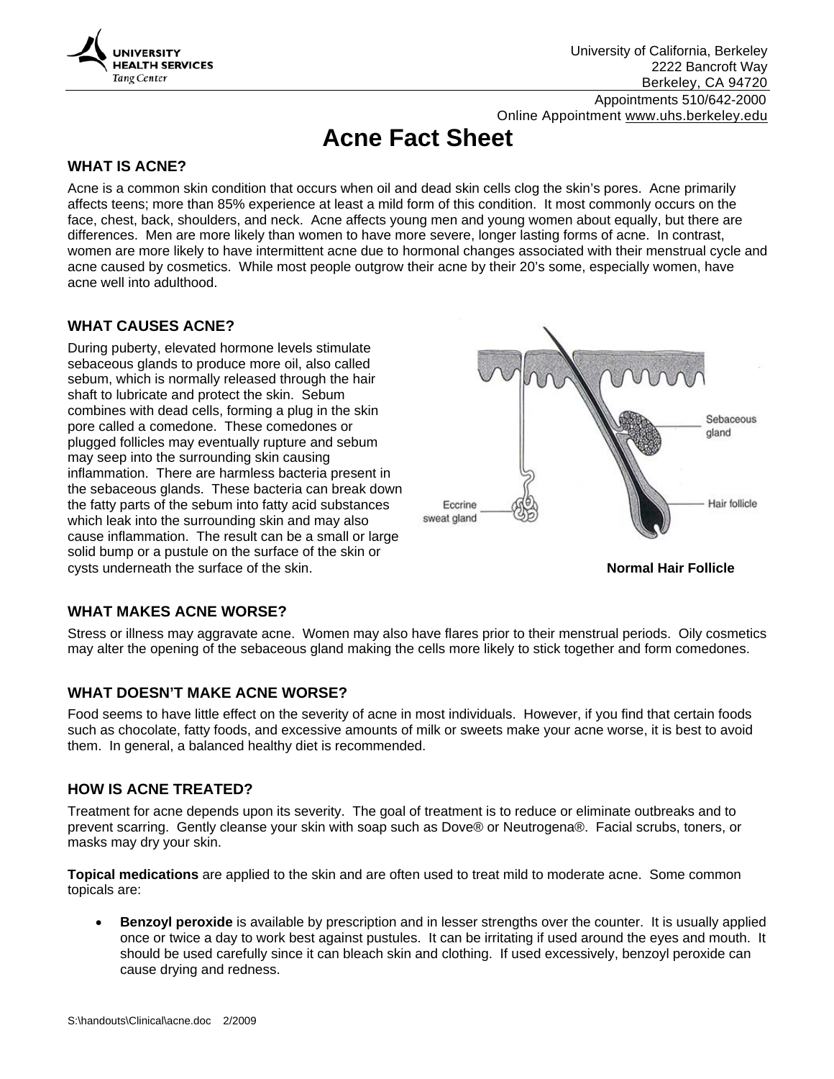

University of California, Berkeley 2222 Bancroft Way Berkeley, CA 94720

 Appointments 510/642-2000 Online Appointment www.uhs.berkeley.edu

# **Acne Fact Sheet**

### **WHAT IS ACNE?**

Acne is a common skin condition that occurs when oil and dead skin cells clog the skin's pores. Acne primarily affects teens; more than 85% experience at least a mild form of this condition. It most commonly occurs on the face, chest, back, shoulders, and neck. Acne affects young men and young women about equally, but there are differences. Men are more likely than women to have more severe, longer lasting forms of acne. In contrast, women are more likely to have intermittent acne due to hormonal changes associated with their menstrual cycle and acne caused by cosmetics. While most people outgrow their acne by their 20's some, especially women, have acne well into adulthood.

#### **WHAT CAUSES ACNE?**

During puberty, elevated hormone levels stimulate sebaceous glands to produce more oil, also called sebum, which is normally released through the hair shaft to lubricate and protect the skin. Sebum combines with dead cells, forming a plug in the skin pore called a comedone. These comedones or plugged follicles may eventually rupture and sebum may seep into the surrounding skin causing inflammation. There are harmless bacteria present in the sebaceous glands. These bacteria can break down the fatty parts of the sebum into fatty acid substances which leak into the surrounding skin and may also cause inflammation. The result can be a small or large solid bump or a pustule on the surface of the skin or cysts underneath the surface of the skin. **Normal Hair Follicle**



#### **WHAT MAKES ACNE WORSE?**

Stress or illness may aggravate acne. Women may also have flares prior to their menstrual periods. Oily cosmetics may alter the opening of the sebaceous gland making the cells more likely to stick together and form comedones.

#### **WHAT DOESN'T MAKE ACNE WORSE?**

Food seems to have little effect on the severity of acne in most individuals. However, if you find that certain foods such as chocolate, fatty foods, and excessive amounts of milk or sweets make your acne worse, it is best to avoid them. In general, a balanced healthy diet is recommended.

#### **HOW IS ACNE TREATED?**

Treatment for acne depends upon its severity. The goal of treatment is to reduce or eliminate outbreaks and to prevent scarring. Gently cleanse your skin with soap such as Dove® or Neutrogena®. Facial scrubs, toners, or masks may dry your skin.

**Topical medications** are applied to the skin and are often used to treat mild to moderate acne. Some common topicals are:

• **Benzoyl peroxide** is available by prescription and in lesser strengths over the counter. It is usually applied once or twice a day to work best against pustules. It can be irritating if used around the eyes and mouth. It should be used carefully since it can bleach skin and clothing. If used excessively, benzoyl peroxide can cause drying and redness.